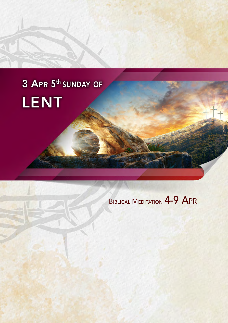# 3 APR 5<sup>th</sup> SUNDAY OF LENT

## BIBLICAL MEDITATION 4-9 APR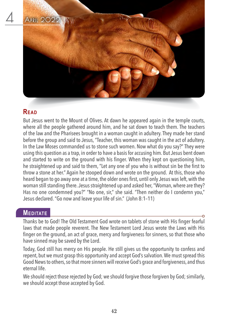

But Jesus went to the Mount of Olives. At dawn he appeared again in the temple courts, where all the people gathered around him, and he sat down to teach them. The teachers of the law and the Pharisees brought in a woman caught in adultery. They made her stand before the group and said to Jesus, "Teacher, this woman was caught in the act of adultery. In the Law Moses commanded us to stone such women. Now what do you say?" They were using this question as a trap, in order to have a basis for accusing him. But Jesus bent down and started to write on the ground with his finger. When they kept on questioning him, he straightened up and said to them, "Let any one of you who is without sin be the first to throw a stone at her." Again he stooped down and wrote on the ground. At this, those who heard began to go away one at a time, the older ones first, until only Jesus was left, with the woman still standing there. Jesus straightened up and asked her, "Woman, where are they? Has no one condemned you?" "No one, sir," she said. "Then neither do I condemn you," Jesus declared. "Go now and leave your life of sin." (John 8:1–11)

#### **MEDITATE**

Thanks be to God! The Old Testament God wrote on tablets of stone with His finger fearful laws that made people reverent. The New Testament Lord Jesus wrote the Laws with His finger on the ground, an act of grace, mercy and forgiveness for sinners, so that those who have sinned may be saved by the Lord.

Today, God still has mercy on His people. He still gives us the opportunity to confess and repent, but we must grasp this opportunity and accept God's salvation. We must spread this Good News to others, so that more sinners will receive God's grace and forgiveness, and thus eternal life.

We should reject those rejected by God; we should forgive those forgiven by God; similarly, we should accept those accepted by God.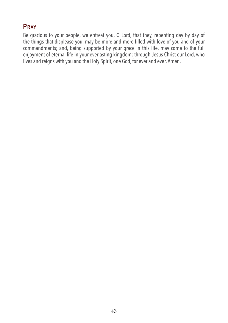## **Pray**

Be gracious to your people, we entreat you, O Lord, that they, repenting day by day of the things that displease you, may be more and more filled with love of you and of your commandments; and, being supported by your grace in this life, may come to the full enjoyment of eternal life in your everlasting kingdom; through Jesus Christ our Lord, who lives and reigns with you and the Holy Spirit, one God, for ever and ever. Amen.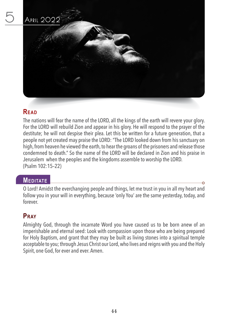

The nations will fear the name of the LORD, all the kings of the earth will revere your glory. For the LORD will rebuild Zion and appear in his glory. He will respond to the prayer of the destitute; he will not despise their plea. Let this be written for a future generation, that a people not yet created may praise the LORD: "The LORD looked down from his sanctuary on high, from heaven he viewed the earth, to hear the groans of the prisoners and release those condemned to death." So the name of the LORD will be declared in Zion and his praise in Jerusalem when the peoples and the kingdoms assemble to worship the LORD. (Psalm 102:15–22)

#### **MEDITATE**

O Lord! Amidst the everchanging people and things, let me trust in you in all my heart and follow you in your will in everything, because 'only You' are the same yesterday, today, and forever.

## **Pray**

Almighty God, through the incarnate Word you have caused us to be born anew of an imperishable and eternal seed: Look with compassion upon those who are being prepared for Holy Baptism, and grant that they may be built as living stones into a spiritual temple acceptable to you; through Jesus Christ our Lord, who lives and reigns with you and the Holy Spirit, one God, for ever and ever. Amen.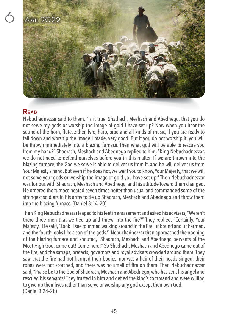

Nebuchadnezzar said to them, "Is it true, Shadrach, Meshach and Abednego, that you do not serve my gods or worship the image of gold I have set up? Now when you hear the sound of the horn, flute, zither, lyre, harp, pipe and all kinds of music, if you are ready to fall down and worship the image I made, very good. But if you do not worship it, you will be thrown immediately into a blazing furnace. Then what god will be able to rescue you from my hand?" Shadrach, Meshach and Abednego replied to him, "King Nebuchadnezzar, we do not need to defend ourselves before you in this matter. If we are thrown into the blazing furnace, the God we serve is able to deliver us from it, and he will deliver us from Your Majesty's hand. But even if he does not, we want you to know, Your Majesty, that we will not serve your gods or worship the image of gold you have set up." Then Nebuchadnezzar was furious with Shadrach, Meshach and Abednego, and his attitude toward them changed. He ordered the furnace heated seven times hotter than usual and commanded some of the strongest soldiers in his army to tie up Shadrach, Meshach and Abednego and throw them into the blazing furnace. (Daniel 3:14–20)

Then King Nebuchadnezzar leaped to his feet in amazement and asked his advisers, "Weren't there three men that we tied up and threw into the fire?" They replied, "Certainly, Your Majesty." He said, "Look! I see four men walking around in the fire, unbound and unharmed, and the fourth looks like a son of the gods." Nebuchadnezzar then approached the opening of the blazing furnace and shouted, "Shadrach, Meshach and Abednego, servants of the Most High God, come out! Come here!" So Shadrach, Meshach and Abednego came out of the fire, and the satraps, prefects, governors and royal advisers crowded around them. They saw that the fire had not harmed their bodies, nor was a hair of their heads singed; their robes were not scorched, and there was no smell of fire on them. Then Nebuchadnezzar said, "Praise be to the God of Shadrach, Meshach and Abednego, who has sent his angel and rescued his servants! They trusted in him and defied the king's command and were willing to give up their lives rather than serve or worship any god except their own God. (Daniel 3:24–28)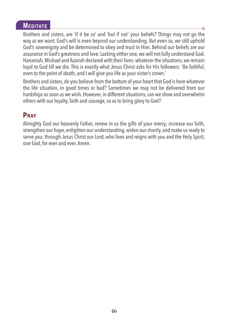#### **MEDITATE**

Brothers and sisters, are 'if it be so' and 'but if not' your beliefs? Things may not go the way as we want. God's will is even beyond our understanding. But even so, we still uphold God's sovereignty and be determined to obey and trust in Him. Behind our beliefs are our assurance in God's greatness and love. Lacking either one, we will not fully understand God. Hananiah, Mishael and Azariah declared with their lives: whatever the situations, we remain loyal to God till we die. This is exactly what Jesus Christ asks for His followers: 'Be faithful, even to the point of death, and I will give you life as your victor's crown.'

Brothers and sisters, do you believe from the bottom of your heart that God is here whatever the life situation, in good times or bad? Sometimes we may not be delivered from our hardships as soon as we wish. However, in different situations, can we show and overwhelm others with our loyalty, faith and courage, so as to bring glory to God?

## **Pray**

Almighty God our heavenly Father, renew in us the gifts of your mercy; increase our faith, strengthen our hope, enlighten our understanding, widen our charity, and make us ready to serve you; through Jesus Christ our Lord, who lives and reigns with you and the Holy Spirit, one God, for ever and ever. Amen.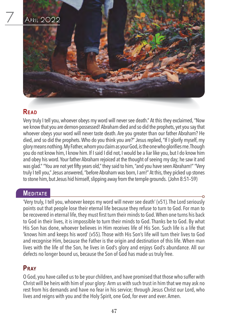

Very truly I tell you, whoever obeys my word will never see death." At this they exclaimed, "Now we know that you are demon-possessed! Abraham died and so did the prophets, yet you say that whoever obeys your word will never taste death. Are you greater than our father Abraham? He died, and so did the prophets. Who do you think you are?" Jesus replied, "If I glorify myself, my glory means nothing. My Father, whom you claim as your God, is the one who glorifies me. Though you do not know him, I know him. If I said I did not, I would be a liar like you, but I do know him and obey his word. Your father Abraham rejoiced at the thought of seeing my day; he saw it and was glad." "You are not yet fifty years old," they said to him, "and you have seen Abraham!" "Very truly I tell you," Jesus answered, "before Abraham was born, I am!" At this, they picked up stones to stone him, but Jesus hid himself, slipping away from the temple grounds. (John 8:51–59)

#### **MEDITATE**

'Very truly, I tell you, whoever keeps my word will never see death' (v51). The Lord seriously points out that people lose their eternal life because they refuse to turn to God. For man to be recovered in eternal life, they must first turn their minds to God. When one turns his back to God in their lives, it is impossible to turn their minds to God. Thanks be to God. By what His Son has done, whoever believes in Him receives life of His Son. Such life is a life that 'knows him and keeps his word' (v55). Those with His Son's life will turn their lives to God and recognise Him, because the Father is the origin and destination of this life. When man lives with the life of the Son, he lives in God's glory and enjoys God's abundance. All our defects no longer bound us, because the Son of God has made us truly free.

#### **Pray**

O God, you have called us to be your children, and have promised that those who suffer with Christ will be heirs with him of your glory: Arm us with such trust in him that we may ask no rest from his demands and have no fear in his service; through Jesus Christ our Lord, who lives and reigns with you and the Holy Spirit, one God, for ever and ever. Amen.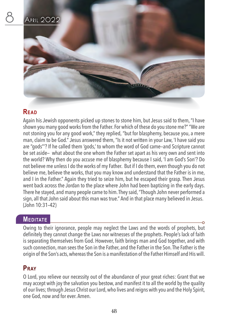

Again his Jewish opponents picked up stones to stone him, but Jesus said to them, "I have shown you many good works from the Father. For which of these do you stone me?" "We are not stoning you for any good work," they replied, "but for blasphemy, because you, a mere man, claim to be God." Jesus answered them, "Is it not written in your Law, 'I have said you are "gods"'? If he called them 'gods,' to whom the word of God came—and Scripture cannot be set aside— what about the one whom the Father set apart as his very own and sent into the world? Why then do you accuse me of blasphemy because I said, 'I am God's Son'? Do not believe me unless I do the works of my Father. But if I do them, even though you do not believe me, believe the works, that you may know and understand that the Father is in me, and I in the Father." Again they tried to seize him, but he escaped their grasp. Then Jesus went back across the Jordan to the place where John had been baptizing in the early days. There he stayed, and many people came to him. They said, "Though John never performed a sign, all that John said about this man was true." And in that place many believed in Jesus. (John 10:31–42)

#### **MEDITATE**

Owing to their ignorance, people may neglect the Laws and the words of prophets, but definitely they cannot change the Laws nor witnesses of the prophets. People's lack of faith is separating themselves from God. However, faith brings man and God together, and with such connection, man sees the Son in the Father, and the Father in the Son. The Father is the origin of the Son's acts, whereas the Son is a manifestation of the Father Himself and His will.

## **Pray**

O Lord, you relieve our necessity out of the abundance of your great riches: Grant that we may accept with joy the salvation you bestow, and manifest it to all the world by the quality of our lives; through Jesus Christ our Lord, who lives and reigns with you and the Holy Spirit, one God, now and for ever. Amen.